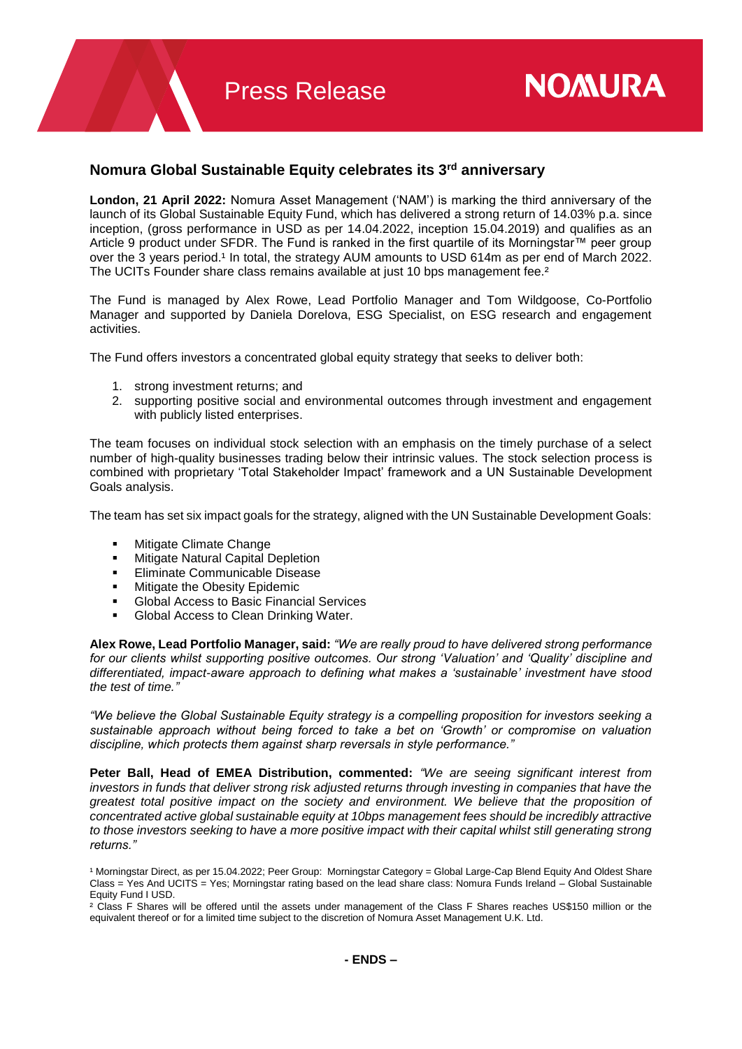# **Nomura Global Sustainable Equity celebrates its 3rd anniversary**

**London, 21 April 2022:** Nomura Asset Management ('NAM') is marking the third anniversary of the launch of its Global Sustainable Equity Fund, which has delivered a strong return of 14.03% p.a. since inception, (gross performance in USD as per 14.04.2022, inception 15.04.2019) and qualifies as an Article 9 product under SFDR. The Fund is ranked in the first quartile of its Morningstar™ peer group over the 3 years period.<sup>1</sup> In total, the strategy AUM amounts to USD 614m as per end of March 2022. The UCITs Founder share class remains available at just 10 bps management fee.<sup>2</sup>

The Fund is managed by Alex Rowe, Lead Portfolio Manager and Tom Wildgoose, Co-Portfolio Manager and supported by Daniela Dorelova, ESG Specialist, on ESG research and engagement activities.

The Fund offers investors a concentrated global equity strategy that seeks to deliver both:

- 1. strong investment returns; and
- 2. supporting positive social and environmental outcomes through investment and engagement with publicly listed enterprises.

The team focuses on individual stock selection with an emphasis on the timely purchase of a select number of high-quality businesses trading below their intrinsic values. The stock selection process is combined with proprietary 'Total Stakeholder Impact' framework and a UN Sustainable Development Goals analysis.

The team has set six impact goals for the strategy, aligned with the UN Sustainable Development Goals:

- **Mitigate Climate Change**
- **Katural Capital Depletion**
- **Eliminate Communicable Disease**
- **Mitigate the Obesity Epidemic**
- Global Access to Basic Financial Services
- Global Access to Clean Drinking Water.

**Alex Rowe, Lead Portfolio Manager, said:** *"We are really proud to have delivered strong performance for our clients whilst supporting positive outcomes. Our strong 'Valuation' and 'Quality' discipline and differentiated, impact-aware approach to defining what makes a 'sustainable' investment have stood the test of time."*

*"We believe the Global Sustainable Equity strategy is a compelling proposition for investors seeking a sustainable approach without being forced to take a bet on 'Growth' or compromise on valuation discipline, which protects them against sharp reversals in style performance."*

**Peter Ball, Head of EMEA Distribution, commented:** *"We are seeing significant interest from investors in funds that deliver strong risk adjusted returns through investing in companies that have the greatest total positive impact on the society and environment. We believe that the proposition of concentrated active global sustainable equity at 10bps management fees should be incredibly attractive*  to those investors seeking to have a more positive impact with their capital whilst still generating strong *returns."*

<sup>2</sup> Class F Shares will be offered until the assets under management of the Class F Shares reaches US\$150 million or the equivalent thereof or for a limited time subject to the discretion of Nomura Asset Management U.K. Ltd.

<sup>&</sup>lt;sup>1</sup> Morningstar Direct, as per 15.04.2022; Peer Group: Morningstar Category = Global Large-Cap Blend Equity And Oldest Share Class = Yes And UCITS = Yes; Morningstar rating based on the lead share class: Nomura Funds Ireland – Global Sustainable Equity Fund I USD.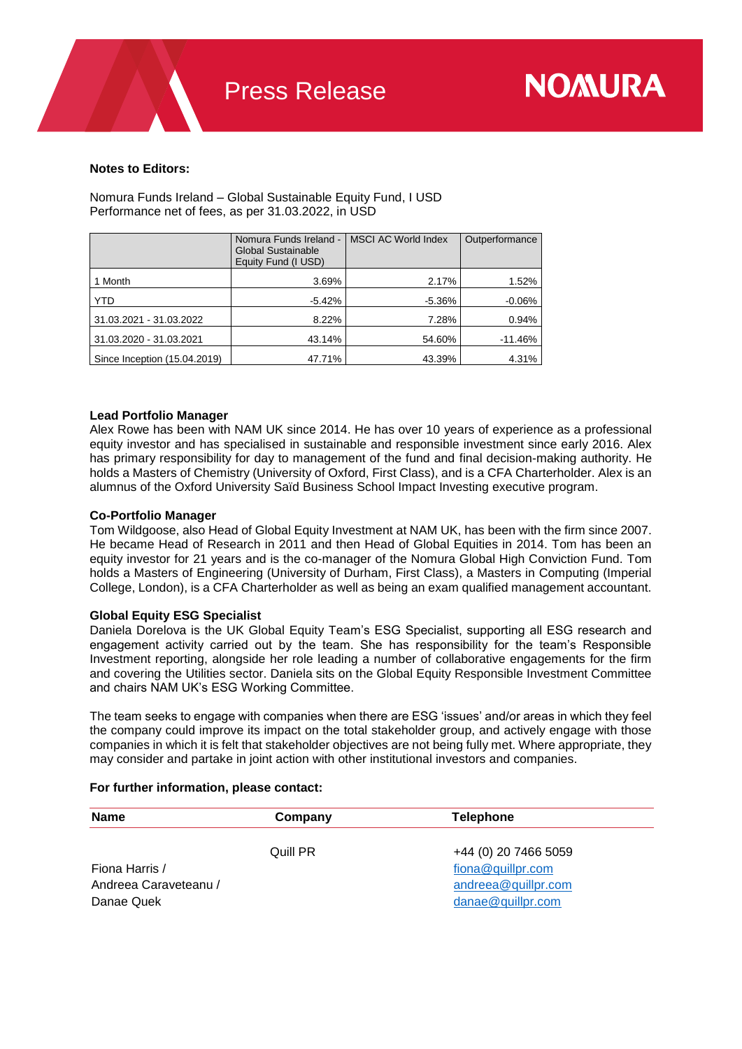# **Notes to Editors:**

Nomura Funds Ireland – Global Sustainable Equity Fund, I USD Performance net of fees, as per 31.03.2022, in USD

|                              | Nomura Funds Ireland -<br>Global Sustainable<br>Equity Fund (I USD) | <b>MSCI AC World Index</b> | Outperformance |
|------------------------------|---------------------------------------------------------------------|----------------------------|----------------|
| 1 Month                      | 3.69%                                                               | 2.17%                      | 1.52%          |
| YTD                          | $-5.42%$                                                            | $-5.36%$                   | $-0.06%$       |
| 31.03.2021 - 31.03.2022      | 8.22%                                                               | 7.28%                      | 0.94%          |
| 31.03.2020 - 31.03.2021      | 43.14%                                                              | 54.60%                     | $-11.46%$      |
| Since Inception (15.04.2019) | 47.71%                                                              | 43.39%                     | 4.31%          |

## **Lead Portfolio Manager**

Alex Rowe has been with NAM UK since 2014. He has over 10 years of experience as a professional equity investor and has specialised in sustainable and responsible investment since early 2016. Alex has primary responsibility for day to management of the fund and final decision-making authority. He holds a Masters of Chemistry (University of Oxford, First Class), and is a CFA Charterholder. Alex is an alumnus of the Oxford University Saïd Business School Impact Investing executive program.

### **Co-Portfolio Manager**

Tom Wildgoose, also Head of Global Equity Investment at NAM UK, has been with the firm since 2007. He became Head of Research in 2011 and then Head of Global Equities in 2014. Tom has been an equity investor for 21 years and is the co-manager of the Nomura Global High Conviction Fund. Tom holds a Masters of Engineering (University of Durham, First Class), a Masters in Computing (Imperial College, London), is a CFA Charterholder as well as being an exam qualified management accountant.

# **Global Equity ESG Specialist**

Daniela Dorelova is the UK Global Equity Team's ESG Specialist, supporting all ESG research and engagement activity carried out by the team. She has responsibility for the team's Responsible Investment reporting, alongside her role leading a number of collaborative engagements for the firm and covering the Utilities sector. Daniela sits on the Global Equity Responsible Investment Committee and chairs NAM UK's ESG Working Committee.

The team seeks to engage with companies when there are ESG 'issues' and/or areas in which they feel the company could improve its impact on the total stakeholder group, and actively engage with those companies in which it is felt that stakeholder objectives are not being fully met. Where appropriate, they may consider and partake in joint action with other institutional investors and companies.

### **For further information, please contact:**

| <b>Name</b>                                           | Company  | Telephone                                                                                  |  |
|-------------------------------------------------------|----------|--------------------------------------------------------------------------------------------|--|
| Fiona Harris /<br>Andreea Caraveteanu /<br>Danae Quek | Quill PR | +44 (0) 20 7466 5059<br>fiona@quillpr.com<br>$and \nreca@quillpr.com$<br>danae@quillpr.com |  |